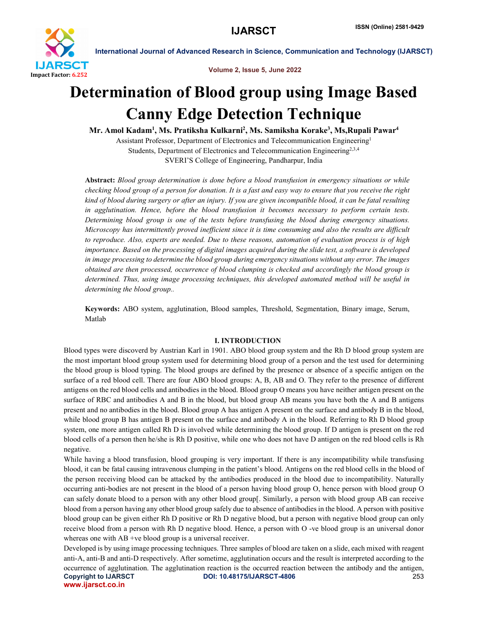

### Volume 2, Issue 5, June 2022

# Determination of Blood group using Image Based Canny Edge Detection Technique

Mr. Amol Kadam<sup>1</sup>, Ms. Pratiksha Kulkarni<sup>2</sup>, Ms. Samiksha Korake<sup>3</sup>, Ms,Rupali Pawar<sup>4</sup>

Assistant Professor, Department of Electronics and Telecommunication Engineering1 Students, Department of Electronics and Telecommunication Engineering<sup>2,3,4</sup> SVERI'S College of Engineering, Pandharpur, India

Abstract: *Blood group determination is done before a blood transfusion in emergency situations or while checking blood group of a person for donation. It is a fast and easy way to ensure that you receive the right kind of blood during surgery or after an injury. If you are given incompatible blood, it can be fatal resulting in agglutination. Hence, before the blood transfusion it becomes necessary to perform certain tests. Determining blood group is one of the tests before transfusing the blood during emergency situations. Microscopy has intermittently proved inefficient since it is time consuming and also the results are difficult to reproduce. Also, experts are needed. Due to these reasons, automation of evaluation process is of high importance. Based on the processing of digital images acquired during the slide test, a software is developed in image processing to determine the blood group during emergency situations without any error. The images obtained are then processed, occurrence of blood clumping is checked and accordingly the blood group is determined. Thus, using image processing techniques, this developed automated method will be useful in determining the blood group..*

Keywords: ABO system, agglutination, Blood samples, Threshold, Segmentation, Binary image, Serum, Matlab

# I. INTRODUCTION

Blood types were discoverd by Austrian Karl in 1901. ABO blood group system and the Rh D blood group system are the most important blood group system used for determining blood group of a person and the test used for determining the blood group is blood typing. The blood groups are defined by the presence or absence of a specific antigen on the surface of a red blood cell. There are four ABO blood groups: A, B, AB and O. They refer to the presence of different antigens on the red blood cells and antibodies in the blood. Blood group O means you have neither antigen present on the surface of RBC and antibodies A and B in the blood, but blood group AB means you have both the A and B antigens present and no antibodies in the blood. Blood group A has antigen A present on the surface and antibody B in the blood, while blood group B has antigen B present on the surface and antibody A in the blood. Referring to Rh D blood group system, one more antigen called Rh D is involved while determining the blood group. If D antigen is present on the red blood cells of a person then he/she is Rh D positive, while one who does not have D antigen on the red blood cells is Rh negative.

While having a blood transfusion, blood grouping is very important. If there is any incompatibility while transfusing blood, it can be fatal causing intravenous clumping in the patient's blood. Antigens on the red blood cells in the blood of the person receiving blood can be attacked by the antibodies produced in the blood due to incompatibility. Naturally occurring anti-bodies are not present in the blood of a person having blood group O, hence person with blood group O can safely donate blood to a person with any other blood group[. Similarly, a person with blood group AB can receive blood from a person having any other blood group safely due to absence of antibodies in the blood. A person with positive blood group can be given either Rh D positive or Rh D negative blood, but a person with negative blood group can only receive blood from a person with Rh D negative blood. Hence, a person with O -ve blood group is an universal donor whereas one with AB +ve blood group is a universal receiver.

Copyright to IJARSCT DOI: 10.48175/IJARSCT-4806 253 www.ijarsct.co.in Developed is by using image processing techniques. Three samples of blood are taken on a slide, each mixed with reagent anti-A, anti-B and anti-D respectively. After sometime, agglutination occurs and the result is interpreted according to the occurrence of agglutination. The agglutination reaction is the occurred reaction between the antibody and the antigen,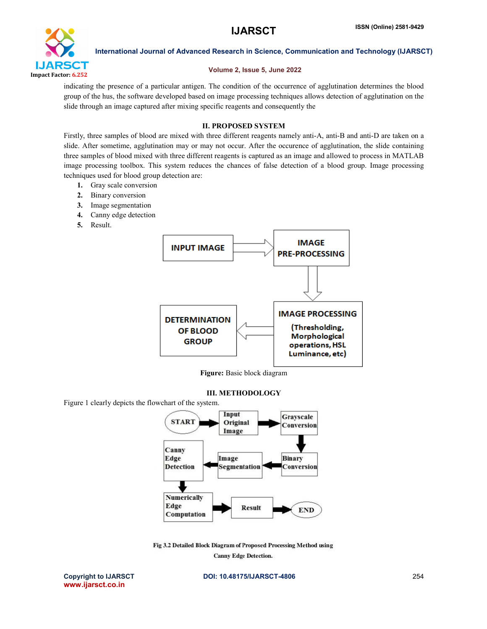

# Volume 2, Issue 5, June 2022

indicating the presence of a particular antigen. The condition of the occurrence of agglutination determines the blood group of the hus, the software developed based on image processing techniques allows detection of agglutination on the slide through an image captured after mixing specific reagents and consequently the

# II. PROPOSED SYSTEM

Firstly, three samples of blood are mixed with three different reagents namely anti-A, anti-B and anti-D are taken on a slide. After sometime, agglutination may or may not occur. After the occurence of agglutination, the slide containing three samples of blood mixed with three different reagents is captured as an image and allowed to process in MATLAB image processing toolbox. This system reduces the chances of false detection of a blood group. Image processing techniques used for blood group detection are:

- 1. Gray scale conversion
- 2. Binary conversion
- 3. Image segmentation
- 4. Canny edge detection
- 5. Result.



Figure: Basic block diagram

# III. METHODOLOGY

Figure 1 clearly depicts the flowchart of the system.



Fig 3.2 Detailed Block Diagram of Proposed Processing Method using **Canny Edge Detection.** 

www.ijarsct.co.in

Copyright to IJARSCT DOI: 10.48175/IJARSCT-4806 254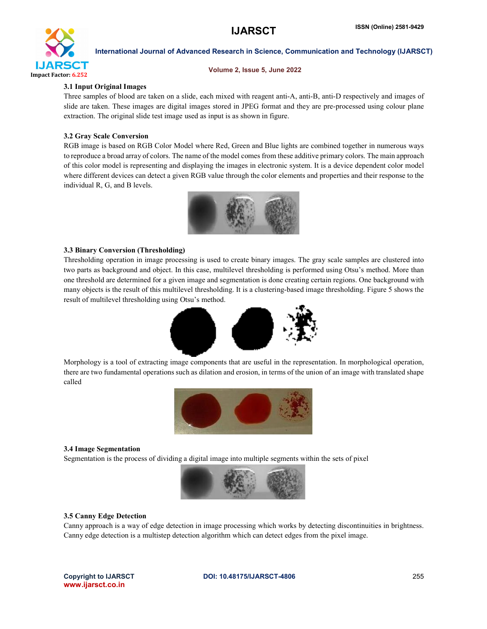

#### Volume 2, Issue 5, June 2022

# 3.1 Input Original Images

Three samples of blood are taken on a slide, each mixed with reagent anti-A, anti-B, anti-D respectively and images of slide are taken. These images are digital images stored in JPEG format and they are pre-processed using colour plane extraction. The original slide test image used as input is as shown in figure.

# 3.2 Gray Scale Conversion

RGB image is based on RGB Color Model where Red, Green and Blue lights are combined together in numerous ways to reproduce a broad array of colors. The name of the model comes from these additive primary colors. The main approach of this color model is representing and displaying the images in electronic system. It is a device dependent color model where different devices can detect a given RGB value through the color elements and properties and their response to the individual R, G, and B levels.



# 3.3 Binary Conversion (Thresholding)

Thresholding operation in image processing is used to create binary images. The gray scale samples are clustered into two parts as background and object. In this case, multilevel thresholding is performed using Otsu's method. More than one threshold are determined for a given image and segmentation is done creating certain regions. One background with many objects is the result of this multilevel thresholding. It is a clustering-based image thresholding. Figure 5 shows the result of multilevel thresholding using Otsu's method.



Morphology is a tool of extracting image components that are useful in the representation. In morphological operation, there are two fundamental operations such as dilation and erosion, in terms of the union of an image with translated shape called



### 3.4 Image Segmentation

Segmentation is the process of dividing a digital image into multiple segments within the sets of pixel



# 3.5 Canny Edge Detection

Canny approach is a way of edge detection in image processing which works by detecting discontinuities in brightness. Canny edge detection is a multistep detection algorithm which can detect edges from the pixel image.

www.ijarsct.co.in